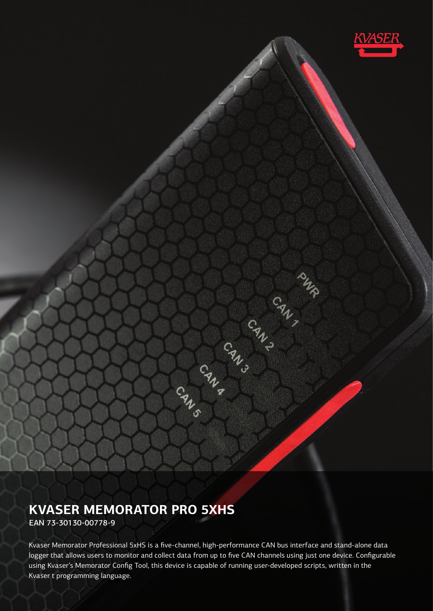

# **KVASER MEMORATOR PRO 5XHS**

EAN 73-30130-00778-9

Kvaser Memorator Professional 5xHS is a five-channel, high-performance CAN bus interface and stand-alone data logger that allows users to monitor and collect data from up to five CAN channels using just one device. Configurable using Kvaser's Memorator Config Tool, this device is capable of running user-developed scripts, written in the Kvaser t programming language.

CRACK CRACK CRACK